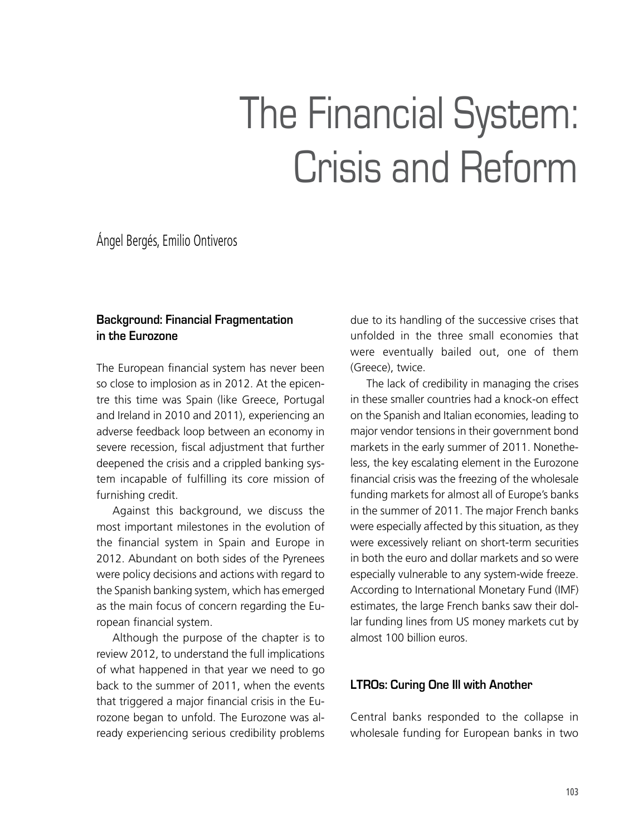# The Financial System: Crisis and Reform

Ángel Bergés, Emilio Ontiveros

# **Background: Financial Fragmentation in the Eurozone**

The European financial system has never been so close to implosion as in 2012. At the epicentre this time was Spain (like Greece, Portugal and Ireland in 2010 and 2011), experiencing an adverse feedback loop between an economy in severe recession, fiscal adjustment that further deepened the crisis and a crippled banking system incapable of fulfilling its core mission of furnishing credit.

Against this background, we discuss the most important milestones in the evolution of the financial system in Spain and Europe in 2012. Abundant on both sides of the Pyrenees were policy decisions and actions with regard to the Spanish banking system, which has emerged as the main focus of concern regarding the European financial system.

Although the purpose of the chapter is to review 2012, to understand the full implications of what happened in that year we need to go back to the summer of 2011, when the events that triggered a major financial crisis in the Eurozone began to unfold. The Eurozone was already experiencing serious credibility problems due to its handling of the successive crises that unfolded in the three small economies that were eventually bailed out, one of them (Greece), twice.

The lack of credibility in managing the crises in these smaller countries had a knock-on effect on the Spanish and Italian economies, leading to major vendor tensions in their government bond markets in the early summer of 2011. Nonetheless, the key escalating element in the Eurozone financial crisis was the freezing of the wholesale funding markets for almost all of Europe's banks in the summer of 2011. The major French banks were especially affected by this situation, as they were excessively reliant on short-term securities in both the euro and dollar markets and so were especially vulnerable to any system-wide freeze. According to International Monetary Fund (IMF) estimates, the large French banks saw their dollar funding lines from US money markets cut by almost 100 billion euros.

# **LTROs: Curing One Ill with Another**

Central banks responded to the collapse in wholesale funding for European banks in two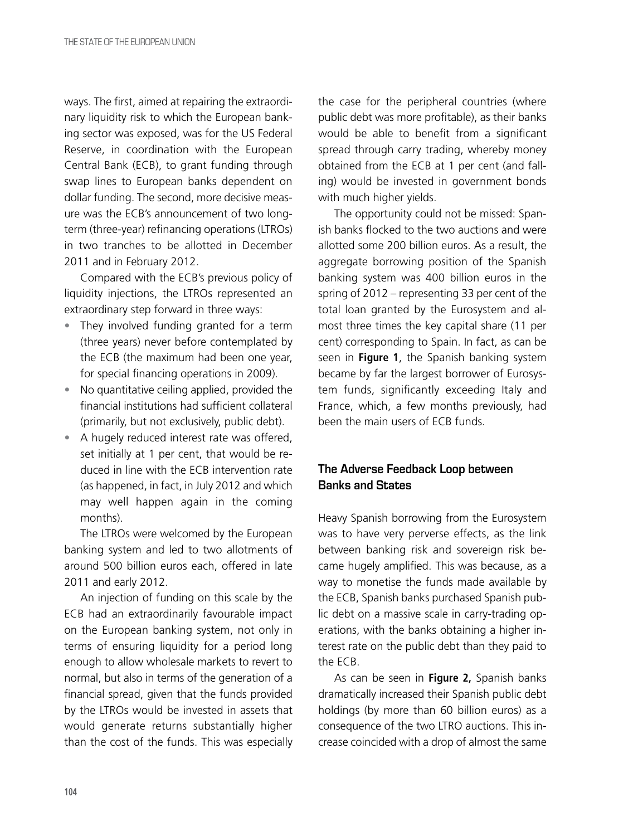ways. The first, aimed at repairing the extraordinary liquidity risk to which the European banking sector was exposed, was for the US Federal Reserve, in coordination with the European Central Bank (ECB), to grant funding through swap lines to European banks dependent on dollar funding. The second, more decisive measure was the ECB's announcement of two longterm (three-year) refinancing operations (LTROs) in two tranches to be allotted in December 2011 and in February 2012.

Compared with the ECB's previous policy of liquidity injections, the LTROs represented an extraordinary step forward in three ways:

- They involved funding granted for a term (three years) never before contemplated by the ECB (the maximum had been one year, for special financing operations in 2009).
- No quantitative ceiling applied, provided the financial institutions had sufficient collateral (primarily, but not exclusively, public debt).
- A hugely reduced interest rate was offered, set initially at 1 per cent, that would be reduced in line with the ECB intervention rate (as happened, in fact, in July 2012 and which may well happen again in the coming months).

The LTROs were welcomed by the European banking system and led to two allotments of around 500 billion euros each, offered in late 2011 and early 2012.

An injection of funding on this scale by the ECB had an extraordinarily favourable impact on the European banking system, not only in terms of ensuring liquidity for a period long enough to allow wholesale markets to revert to normal, but also in terms of the generation of a financial spread, given that the funds provided by the LTROs would be invested in assets that would generate returns substantially higher than the cost of the funds. This was especially the case for the peripheral countries (where public debt was more profitable), as their banks would be able to benefit from a significant spread through carry trading, whereby money obtained from the ECB at 1 per cent (and falling) would be invested in government bonds with much higher yields.

The opportunity could not be missed: Spanish banks flocked to the two auctions and were allotted some 200 billion euros. As a result, the aggregate borrowing position of the Spanish banking system was 400 billion euros in the spring of 2012 – representing 33 per cent of the total loan granted by the Eurosystem and almost three times the key capital share (11 per cent) corresponding to Spain. In fact, as can be seen in **Figure 1**, the Spanish banking system became by far the largest borrower of Eurosystem funds, significantly exceeding Italy and France, which, a few months previously, had been the main users of ECB funds.

# **The Adverse Feedback Loop between Banks and States**

Heavy Spanish borrowing from the Eurosystem was to have very perverse effects, as the link between banking risk and sovereign risk became hugely amplified. This was because, as a way to monetise the funds made available by the ECB, Spanish banks purchased Spanish public debt on a massive scale in carry-trading operations, with the banks obtaining a higher interest rate on the public debt than they paid to the ECB.

As can be seen in **Figure 2,** Spanish banks dramatically increased their Spanish public debt holdings (by more than 60 billion euros) as a consequence of the two LTRO auctions. This increase coincided with a drop of almost the same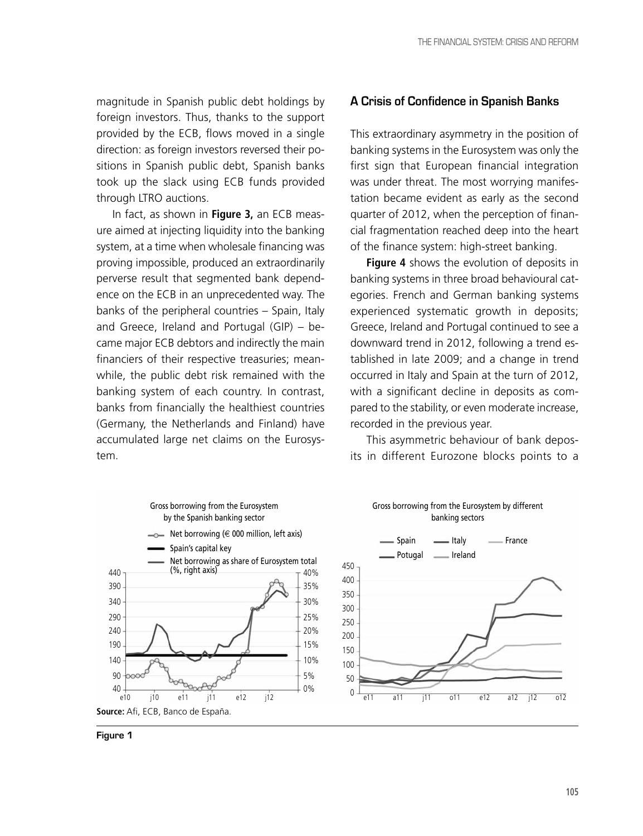magnitude in Spanish public debt holdings by foreign investors. Thus, thanks to the support provided by the ECB, flows moved in a single direction: as foreign investors reversed their positions in Spanish public debt, Spanish banks took up the slack using ECB funds provided through LTRO auctions.

In fact, as shown in **Figure 3,** an ECB measure aimed at injecting liquidity into the banking system, at a time when wholesale financing was proving impossible, produced an extraordinarily perverse result that segmented bank dependence on the ECB in an unprecedented way. The banks of the peripheral countries – Spain, Italy and Greece, Ireland and Portugal (GIP) – became major ECB debtors and indirectly the main financiers of their respective treasuries; meanwhile, the public debt risk remained with the banking system of each country. In contrast, banks from financially the healthiest countries (Germany, the Netherlands and Finland) have accumulated large net claims on the Eurosystem.



This extraordinary asymmetry in the position of banking systems in the Eurosystem was only the first sign that European financial integration was under threat. The most worrying manifestation became evident as early as the second quarter of 2012, when the perception of financial fragmentation reached deep into the heart of the finance system: high-street banking.

**Figure 4** shows the evolution of deposits in banking systems in three broad behavioural categories. French and German banking systems experienced systematic growth in deposits; Greece, Ireland and Portugal continued to see a downward trend in 2012, following a trend established in late 2009; and a change in trend occurred in Italy and Spain at the turn of 2012, with a significant decline in deposits as compared to the stability, or even moderate increase, recorded in the previous year.

This asymmetric behaviour of bank deposits in different Eurozone blocks points to a







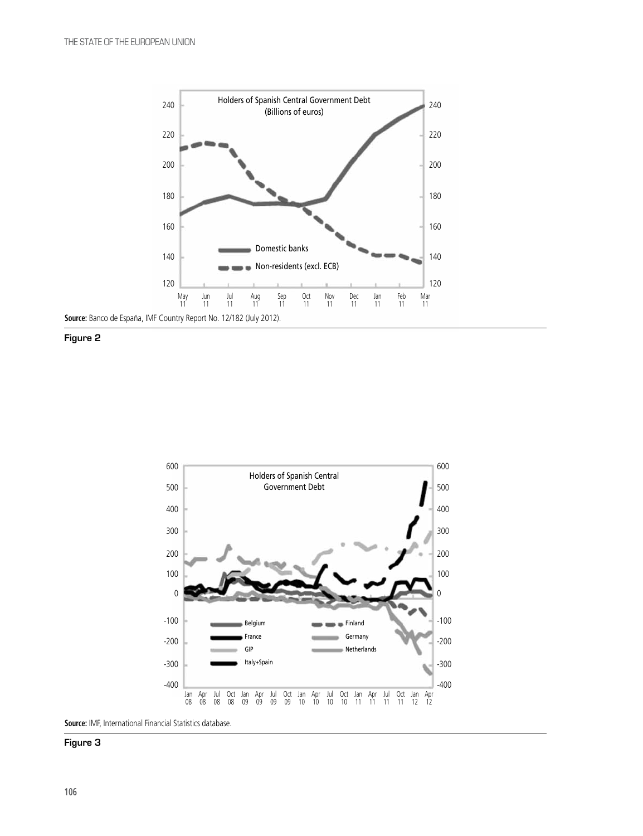





**Source:** IMF, International Financial Statistics database.

#### **Figure 3**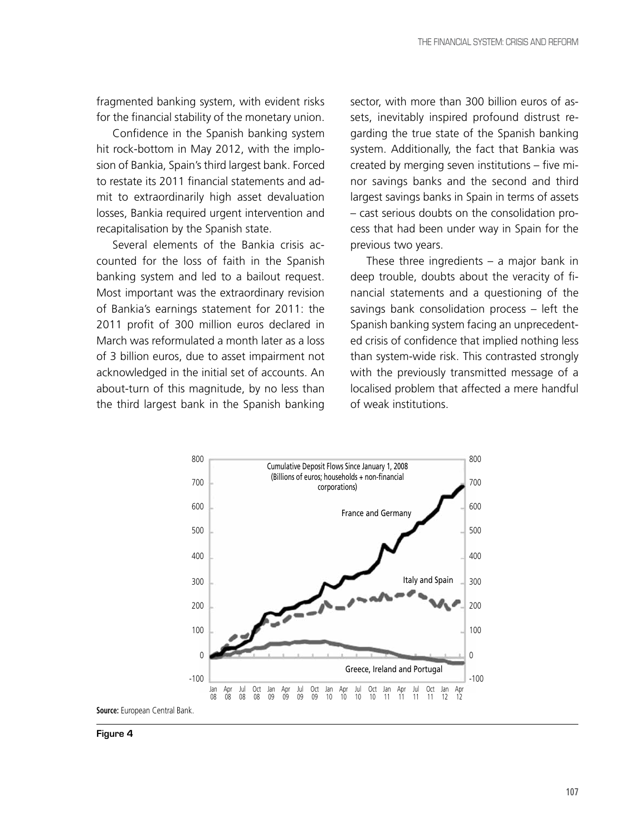fragmented banking system, with evident risks for the financial stability of the monetary union.

Confidence in the Spanish banking system hit rock-bottom in May 2012, with the implosion of Bankia, Spain's third largest bank. Forced to restate its 2011 financial statements and admit to extraordinarily high asset devaluation losses, Bankia required urgent intervention and recapitalisation by the Spanish state.

Several elements of the Bankia crisis accounted for the loss of faith in the Spanish banking system and led to a bailout request. Most important was the extraordinary revision of Bankia's earnings statement for 2011: the 2011 profit of 300 million euros declared in March was reformulated a month later as a loss of 3 billion euros, due to asset impairment not acknowledged in the initial set of accounts. An about-turn of this magnitude, by no less than the third largest bank in the Spanish banking

sector, with more than 300 billion euros of assets, inevitably inspired profound distrust regarding the true state of the Spanish banking system. Additionally, the fact that Bankia was created by merging seven institutions – five minor savings banks and the second and third largest savings banks in Spain in terms of assets – cast serious doubts on the consolidation process that had been under way in Spain for the previous two years.

These three ingredients – a major bank in deep trouble, doubts about the veracity of financial statements and a questioning of the savings bank consolidation process – left the Spanish banking system facing an unprecedented crisis of confidence that implied nothing less than system-wide risk. This contrasted strongly with the previously transmitted message of a localised problem that affected a mere handful of weak institutions.



**Figure 4**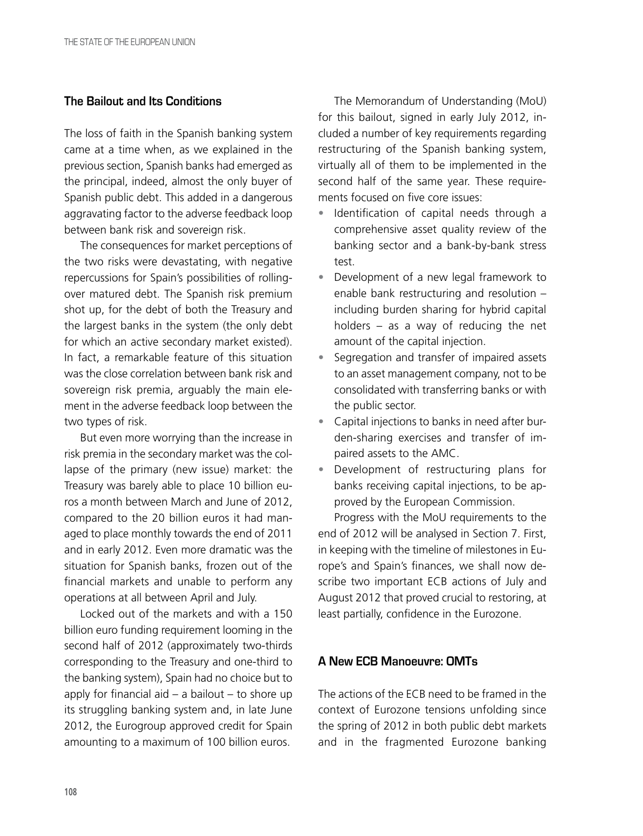## **The Bailout and Its Conditions**

The loss of faith in the Spanish banking system came at a time when, as we explained in the previous section, Spanish banks had emerged as the principal, indeed, almost the only buyer of Spanish public debt. This added in a dangerous aggravating factor to the adverse feedback loop between bank risk and sovereign risk.

The consequences for market perceptions of the two risks were devastating, with negative repercussions for Spain's possibilities of rollingover matured debt. The Spanish risk premium shot up, for the debt of both the Treasury and the largest banks in the system (the only debt for which an active secondary market existed). In fact, a remarkable feature of this situation was the close correlation between bank risk and sovereign risk premia, arguably the main element in the adverse feedback loop between the two types of risk.

But even more worrying than the increase in risk premia in the secondary market was the collapse of the primary (new issue) market: the Treasury was barely able to place 10 billion euros a month between March and June of 2012, compared to the 20 billion euros it had managed to place monthly towards the end of 2011 and in early 2012. Even more dramatic was the situation for Spanish banks, frozen out of the financial markets and unable to perform any operations at all between April and July.

Locked out of the markets and with a 150 billion euro funding requirement looming in the second half of 2012 (approximately two-thirds corresponding to the Treasury and one-third to the banking system), Spain had no choice but to apply for financial aid  $-$  a bailout  $-$  to shore up its struggling banking system and, in late June 2012, the Eurogroup approved credit for Spain amounting to a maximum of 100 billion euros.

The Memorandum of Understanding (MoU) for this bailout, signed in early July 2012, included a number of key requirements regarding restructuring of the Spanish banking system, virtually all of them to be implemented in the second half of the same year. These requirements focused on five core issues:

- Identification of capital needs through a comprehensive asset quality review of the banking sector and a bank-by-bank stress test.
- Development of a new legal framework to enable bank restructuring and resolution – including burden sharing for hybrid capital holders – as a way of reducing the net amount of the capital injection.
- Segregation and transfer of impaired assets to an asset management company, not to be consolidated with transferring banks or with the public sector.
- Capital injections to banks in need after burden-sharing exercises and transfer of impaired assets to the AMC.
- Development of restructuring plans for banks receiving capital injections, to be approved by the European Commission.

Progress with the MoU requirements to the end of 2012 will be analysed in Section 7. First, in keeping with the timeline of milestones in Europe's and Spain's finances, we shall now describe two important ECB actions of July and August 2012 that proved crucial to restoring, at least partially, confidence in the Eurozone.

## **A New ECB Manoeuvre: OMTs**

The actions of the ECB need to be framed in the context of Eurozone tensions unfolding since the spring of 2012 in both public debt markets and in the fragmented Eurozone banking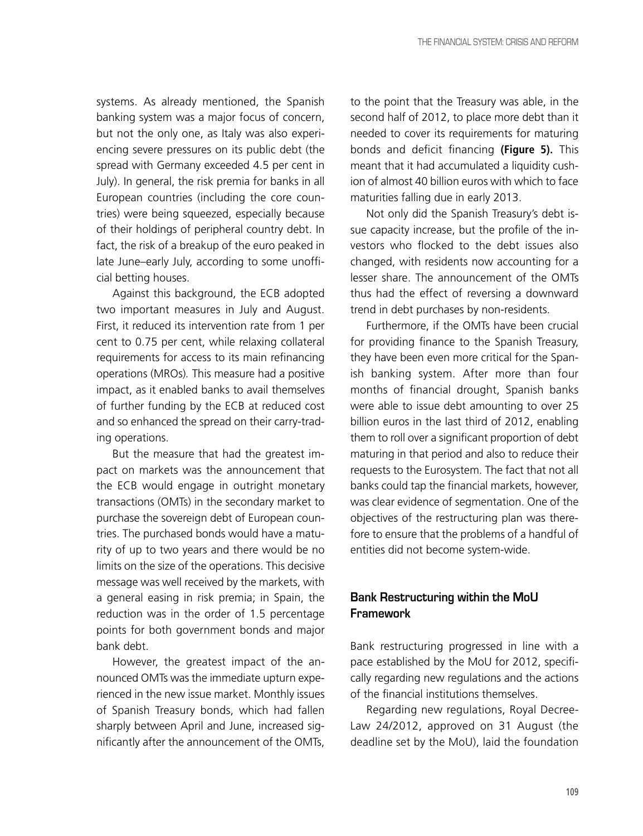systems. As already mentioned, the Spanish banking system was a major focus of concern, but not the only one, as Italy was also experiencing severe pressures on its public debt (the spread with Germany exceeded 4.5 per cent in July). In general, the risk premia for banks in all European countries (including the core countries) were being squeezed, especially because of their holdings of peripheral country debt. In fact, the risk of a breakup of the euro peaked in late June–early July, according to some unofficial betting houses.

Against this background, the ECB adopted two important measures in July and August. First, it reduced its intervention rate from 1 per cent to 0.75 per cent, while relaxing collateral requirements for access to its main refinancing operations (MROs)*.* This measure had a positive impact, as it enabled banks to avail themselves of further funding by the ECB at reduced cost and so enhanced the spread on their carry-trading operations.

But the measure that had the greatest impact on markets was the announcement that the ECB would engage in outright monetary transactions (OMTs) in the secondary market to purchase the sovereign debt of European countries. The purchased bonds would have a maturity of up to two years and there would be no limits on the size of the operations. This decisive message was well received by the markets, with a general easing in risk premia; in Spain, the reduction was in the order of 1.5 percentage points for both government bonds and major bank debt.

However, the greatest impact of the announced OMTs was the immediate upturn experienced in the new issue market. Monthly issues of Spanish Treasury bonds, which had fallen sharply between April and June, increased significantly after the announcement of the OMTs, to the point that the Treasury was able, in the second half of 2012, to place more debt than it needed to cover its requirements for maturing bonds and deficit financing **(Figure 5).** This meant that it had accumulated a liquidity cushion of almost 40 billion euros with which to face maturities falling due in early 2013.

Not only did the Spanish Treasury's debt issue capacity increase, but the profile of the investors who flocked to the debt issues also changed, with residents now accounting for a lesser share. The announcement of the OMTs thus had the effect of reversing a downward trend in debt purchases by non-residents.

Furthermore, if the OMTs have been crucial for providing finance to the Spanish Treasury, they have been even more critical for the Spanish banking system. After more than four months of financial drought, Spanish banks were able to issue debt amounting to over 25 billion euros in the last third of 2012, enabling them to roll over a significant proportion of debt maturing in that period and also to reduce their requests to the Eurosystem. The fact that not all banks could tap the financial markets, however, was clear evidence of segmentation. One of the objectives of the restructuring plan was therefore to ensure that the problems of a handful of entities did not become system-wide.

## **Bank Restructuring within the MoU Framework**

Bank restructuring progressed in line with a pace established by the MoU for 2012, specifically regarding new regulations and the actions of the financial institutions themselves.

Regarding new regulations, Royal Decree-Law 24/2012, approved on 31 August (the deadline set by the MoU), laid the foundation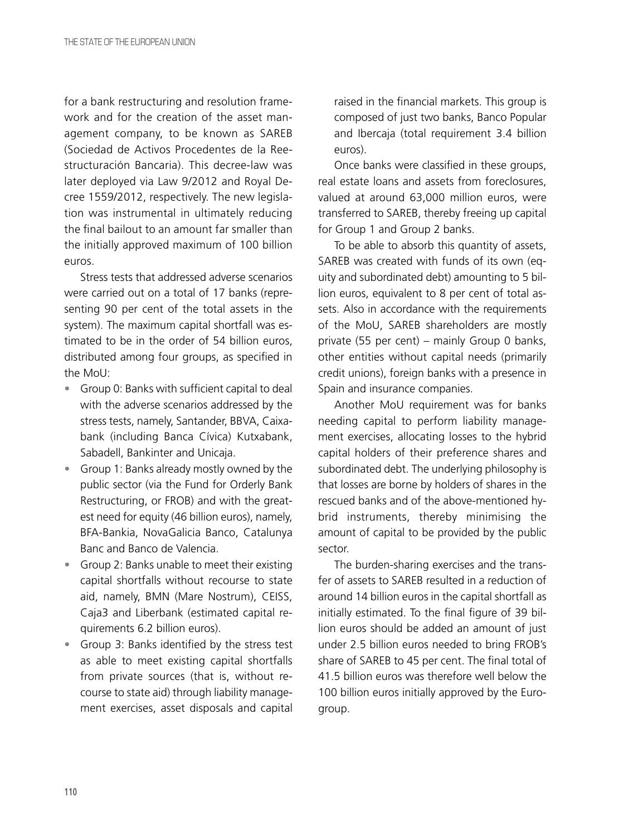for a bank restructuring and resolution framework and for the creation of the asset management company, to be known as SAREB (Sociedad de Activos Procedentes de la Reestructuración Bancaria). This decree-law was later deployed via Law 9/2012 and Royal Decree 1559/2012, respectively. The new legislation was instrumental in ultimately reducing the final bailout to an amount far smaller than the initially approved maximum of 100 billion euros.

Stress tests that addressed adverse scenarios were carried out on a total of 17 banks (representing 90 per cent of the total assets in the system). The maximum capital shortfall was estimated to be in the order of 54 billion euros, distributed among four groups, as specified in the MoU:

- Group 0: Banks with sufficient capital to deal with the adverse scenarios addressed by the stress tests, namely, Santander, BBVA, Caixabank (including Banca Cívica) Kutxabank, Sabadell, Bankinter and Unicaja.
- Group 1: Banks already mostly owned by the public sector (via the Fund for Orderly Bank Restructuring, or FROB) and with the greatest need for equity (46 billion euros), namely, BFA-Bankia, NovaGalicia Banco, Catalunya Banc and Banco de Valencia.
- Group 2: Banks unable to meet their existing capital shortfalls without recourse to state aid, namely, BMN (Mare Nostrum), CEISS, Caja3 and Liberbank (estimated capital requirements 6.2 billion euros).
- Group 3: Banks identified by the stress test as able to meet existing capital shortfalls from private sources (that is, without recourse to state aid) through liability management exercises, asset disposals and capital

raised in the financial markets. This group is composed of just two banks, Banco Popular and Ibercaja (total requirement 3.4 billion euros).

Once banks were classified in these groups, real estate loans and assets from foreclosures, valued at around 63,000 million euros, were transferred to SAREB, thereby freeing up capital for Group 1 and Group 2 banks.

To be able to absorb this quantity of assets, SAREB was created with funds of its own (equity and subordinated debt) amounting to 5 billion euros, equivalent to 8 per cent of total assets. Also in accordance with the requirements of the MoU, SAREB shareholders are mostly private (55 per cent) – mainly Group 0 banks, other entities without capital needs (primarily credit unions), foreign banks with a presence in Spain and insurance companies.

Another MoU requirement was for banks needing capital to perform liability management exercises, allocating losses to the hybrid capital holders of their preference shares and subordinated debt. The underlying philosophy is that losses are borne by holders of shares in the rescued banks and of the above-mentioned hybrid instruments, thereby minimising the amount of capital to be provided by the public sector.

The burden-sharing exercises and the transfer of assets to SAREB resulted in a reduction of around 14 billion euros in the capital shortfall as initially estimated. To the final figure of 39 billion euros should be added an amount of just under 2.5 billion euros needed to bring FROB's share of SAREB to 45 per cent. The final total of 41.5 billion euros was therefore well below the 100 billion euros initially approved by the Eurogroup.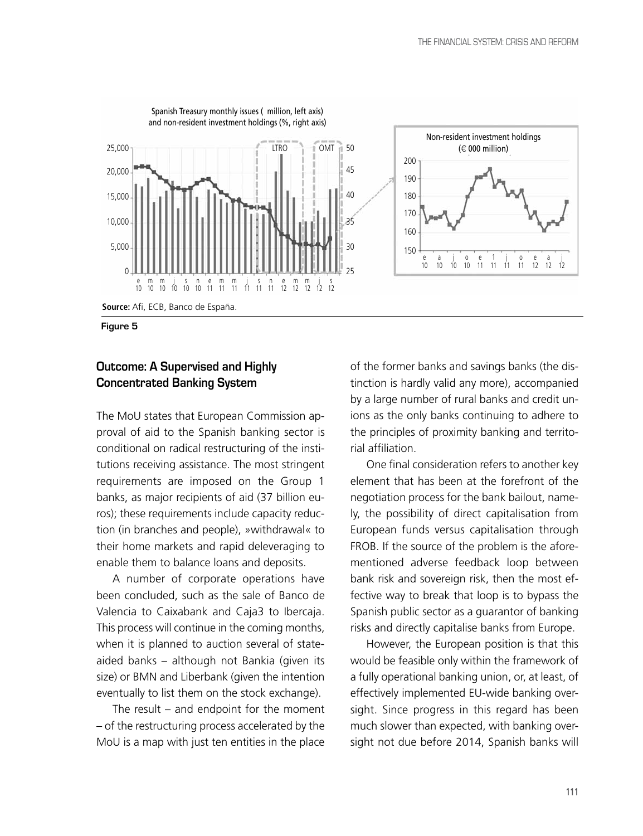

**Figure 5**

## **Outcome: A Supervised and Highly Concentrated Banking System**

The MoU states that European Commission approval of aid to the Spanish banking sector is conditional on radical restructuring of the institutions receiving assistance. The most stringent requirements are imposed on the Group 1 banks, as major recipients of aid (37 billion euros); these requirements include capacity reduction (in branches and people), »withdrawal« to their home markets and rapid deleveraging to enable them to balance loans and deposits.

A number of corporate operations have been concluded, such as the sale of Banco de Valencia to Caixabank and Caja3 to Ibercaja. This process will continue in the coming months, when it is planned to auction several of stateaided banks – although not Bankia (given its size) or BMN and Liberbank (given the intention eventually to list them on the stock exchange).

The result – and endpoint for the moment – of the restructuring process accelerated by the MoU is a map with just ten entities in the place

of the former banks and savings banks (the distinction is hardly valid any more), accompanied by a large number of rural banks and credit unions as the only banks continuing to adhere to the principles of proximity banking and territorial affiliation.

One final consideration refers to another key element that has been at the forefront of the negotiation process for the bank bailout, namely, the possibility of direct capitalisation from European funds versus capitalisation through FROB. If the source of the problem is the aforementioned adverse feedback loop between bank risk and sovereign risk, then the most effective way to break that loop is to bypass the Spanish public sector as a guarantor of banking risks and directly capitalise banks from Europe.

However, the European position is that this would be feasible only within the framework of a fully operational banking union, or, at least, of effectively implemented EU-wide banking oversight. Since progress in this regard has been much slower than expected, with banking oversight not due before 2014, Spanish banks will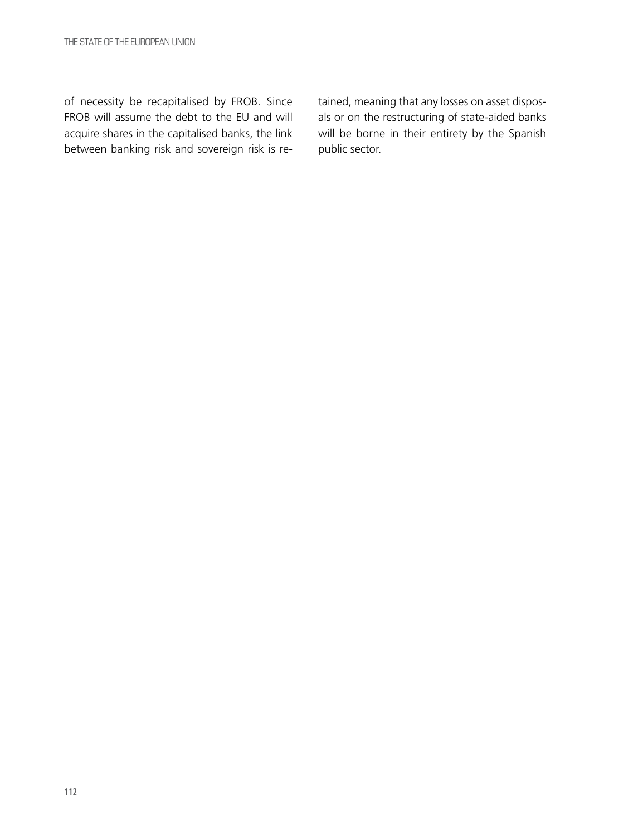of necessity be recapitalised by FROB. Since FROB will assume the debt to the EU and will acquire shares in the capitalised banks, the link between banking risk and sovereign risk is retained, meaning that any losses on asset disposals or on the restructuring of state-aided banks will be borne in their entirety by the Spanish public sector.